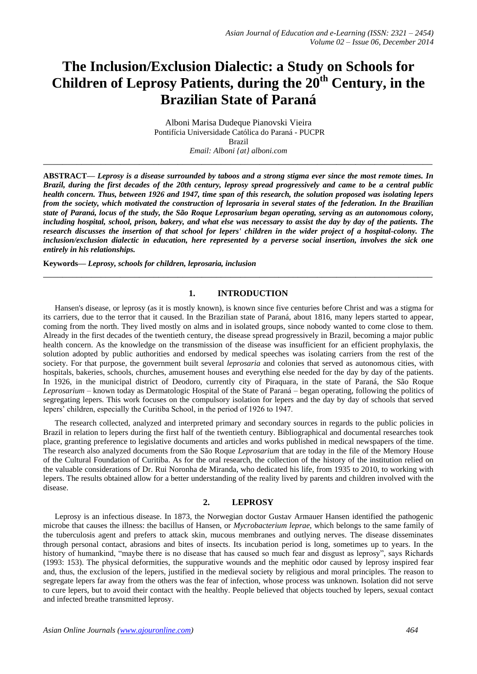# **The Inclusion/Exclusion Dialectic: a Study on Schools for Children of Leprosy Patients, during the 20th Century, in the Brazilian State of Paraná**

Alboni Marisa Dudeque Pianovski Vieira Pontifícia Universidade Católica do Paraná - PUCPR Brazil *Email: Alboni {at} alboni.com*

**\_\_\_\_\_\_\_\_\_\_\_\_\_\_\_\_\_\_\_\_\_\_\_\_\_\_\_\_\_\_\_\_\_\_\_\_\_\_\_\_\_\_\_\_\_\_\_\_\_\_\_\_\_\_\_\_\_\_\_\_\_\_\_\_\_\_\_\_\_\_\_\_\_\_\_\_\_\_\_\_\_**

**ABSTRACT—** *Leprosy is a disease surrounded by taboos and a strong stigma ever since the most remote times. In Brazil, during the first decades of the 20th century, leprosy spread progressively and came to be a central public health concern. Thus, between 1926 and 1947, time span of this research, the solution proposed was isolating lepers from the society, which motivated the construction of leprosaria in several states of the federation. In the Brazilian state of Paraná, locus of the study, the São Roque Leprosarium began operating, serving as an autonomous colony, including hospital, school, prison, bakery, and what else was necessary to assist the day by day of the patients. The research discusses the insertion of that school for lepers' children in the wider project of a hospital-colony. The inclusion/exclusion dialectic in education, here represented by a perverse social insertion, involves the sick one entirely in his relationships.* 

**Keywords—** *Leprosy, schools for children, leprosaria, inclusion*

## **1. INTRODUCTION**

**\_\_\_\_\_\_\_\_\_\_\_\_\_\_\_\_\_\_\_\_\_\_\_\_\_\_\_\_\_\_\_\_\_\_\_\_\_\_\_\_\_\_\_\_\_\_\_\_\_\_\_\_\_\_\_\_\_\_\_\_\_\_\_\_\_\_\_\_\_\_\_\_\_\_\_\_\_\_\_\_\_**

Hansen's disease, or leprosy (as it is mostly known), is known since five centuries before Christ and was a stigma for its carriers, due to the terror that it caused. In the Brazilian state of Paraná, about 1816, many lepers started to appear, coming from the north. They lived mostly on alms and in isolated groups, since nobody wanted to come close to them. Already in the first decades of the twentieth century, the disease spread progressively in Brazil, becoming a major public health concern. As the knowledge on the transmission of the disease was insufficient for an efficient prophylaxis, the solution adopted by public authorities and endorsed by medical speeches was isolating carriers from the rest of the society. For that purpose, the government built several *leprosaria* and colonies that served as autonomous cities, with hospitals, bakeries, schools, churches, amusement houses and everything else needed for the day by day of the patients. In 1926, in the municipal district of Deodoro, currently city of Piraquara, in the state of Paraná, the São Roque *Leprosarium* – known today as Dermatologic Hospital of the State of Paraná – began operating, following the politics of segregating lepers. This work focuses on the compulsory isolation for lepers and the day by day of schools that served lepers' children, especially the Curitiba School, in the period of 1926 to 1947.

The research collected, analyzed and interpreted primary and secondary sources in regards to the public policies in Brazil in relation to lepers during the first half of the twentieth century. Bibliographical and documental researches took place, granting preference to legislative documents and articles and works published in medical newspapers of the time. The research also analyzed documents from the São Roque *Leprosarium* that are today in the file of the Memory House of the Cultural Foundation of Curitiba. As for the oral research, the collection of the history of the institution relied on the valuable considerations of Dr. Rui Noronha de Miranda, who dedicated his life, from 1935 to 2010, to working with lepers. The results obtained allow for a better understanding of the reality lived by parents and children involved with the disease.

### **2. LEPROSY**

Leprosy is an infectious disease. In 1873, the Norwegian doctor Gustav Armauer Hansen identified the pathogenic microbe that causes the illness: the bacillus of Hansen, or *Mycrobacterium leprae*, which belongs to the same family of the tuberculosis agent and prefers to attack skin, mucous membranes and outlying nerves. The disease disseminates through personal contact, abrasions and bites of insects. Its incubation period is long, sometimes up to years. In the history of humankind, "maybe there is no disease that has caused so much fear and disgust as leprosy", says Richards (1993: 153). The physical deformities, the suppurative wounds and the mephitic odor caused by leprosy inspired fear and, thus, the exclusion of the lepers, justified in the medieval society by religious and moral principles. The reason to segregate lepers far away from the others was the fear of infection, whose process was unknown. Isolation did not serve to cure lepers, but to avoid their contact with the healthy. People believed that objects touched by lepers, sexual contact and infected breathe transmitted leprosy.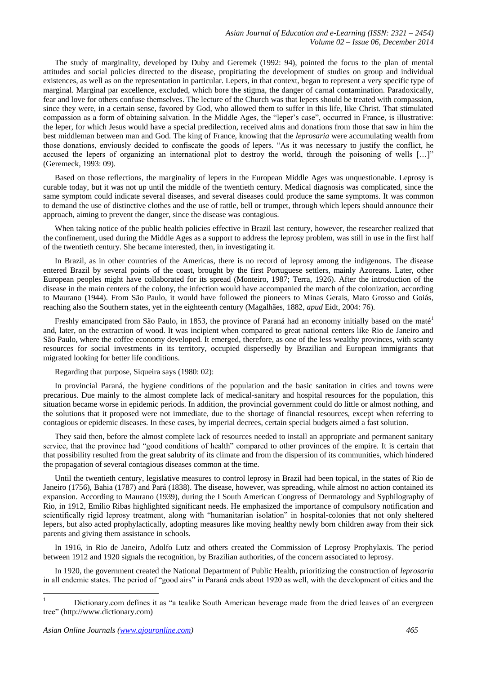The study of marginality, developed by Duby and Geremek (1992: 94), pointed the focus to the plan of mental attitudes and social policies directed to the disease, propitiating the development of studies on group and individual existences, as well as on the representation in particular. Lepers, in that context, began to represent a very specific type of marginal. Marginal par excellence, excluded, which bore the stigma, the danger of carnal contamination. Paradoxically, fear and love for others confuse themselves. The lecture of the Church was that lepers should be treated with compassion, since they were, in a certain sense, favored by God, who allowed them to suffer in this life, like Christ. That stimulated compassion as a form of obtaining salvation. In the Middle Ages, the "leper's case", occurred in France, is illustrative: the leper, for which Jesus would have a special predilection, received alms and donations from those that saw in him the best middleman between man and God. The king of France, knowing that the *leprosaria* were accumulating wealth from those donations, enviously decided to confiscate the goods of lepers. "As it was necessary to justify the conflict, he accused the lepers of organizing an international plot to destroy the world, through the poisoning of wells […]" (Geremeck, 1993: 09).

Based on those reflections, the marginality of lepers in the European Middle Ages was unquestionable. Leprosy is curable today, but it was not up until the middle of the twentieth century. Medical diagnosis was complicated, since the same symptom could indicate several diseases, and several diseases could produce the same symptoms. It was common to demand the use of distinctive clothes and the use of rattle, bell or trumpet, through which lepers should announce their approach, aiming to prevent the danger, since the disease was contagious.

When taking notice of the public health policies effective in Brazil last century, however, the researcher realized that the confinement, used during the Middle Ages as a support to address the leprosy problem, was still in use in the first half of the twentieth century. She became interested, then, in investigating it.

In Brazil, as in other countries of the Americas, there is no record of leprosy among the indigenous. The disease entered Brazil by several points of the coast, brought by the first Portuguese settlers, mainly Azoreans. Later, other European peoples might have collaborated for its spread (Monteiro, 1987; Terra, 1926). After the introduction of the disease in the main centers of the colony, the infection would have accompanied the march of the colonization, according to Maurano (1944). From São Paulo, it would have followed the pioneers to Minas Gerais, Mato Grosso and Goiás, reaching also the Southern states, yet in the eighteenth century (Magalhães, 1882, *apud* Eidt, 2004: 76).

Freshly emancipated from São Paulo, in 1853, the province of Paraná had an economy initially based on the maté<sup>1</sup> and, later, on the extraction of wood. It was incipient when compared to great national centers like Rio de Janeiro and São Paulo, where the coffee economy developed. It emerged, therefore, as one of the less wealthy provinces, with scanty resources for social investments in its territory, occupied dispersedly by Brazilian and European immigrants that migrated looking for better life conditions.

Regarding that purpose, Siqueira says (1980: 02):

In provincial Paraná, the hygiene conditions of the population and the basic sanitation in cities and towns were precarious. Due mainly to the almost complete lack of medical-sanitary and hospital resources for the population, this situation became worse in epidemic periods. In addition, the provincial government could do little or almost nothing, and the solutions that it proposed were not immediate, due to the shortage of financial resources, except when referring to contagious or epidemic diseases. In these cases, by imperial decrees, certain special budgets aimed a fast solution.

They said then, before the almost complete lack of resources needed to install an appropriate and permanent sanitary service, that the province had "good conditions of health" compared to other provinces of the empire. It is certain that that possibility resulted from the great salubrity of its climate and from the dispersion of its communities, which hindered the propagation of several contagious diseases common at the time.

Until the twentieth century, legislative measures to control leprosy in Brazil had been topical, in the states of Rio de Janeiro (1756), Bahia (1787) and Pará (1838). The disease, however, was spreading, while almost no action contained its expansion. According to Maurano (1939), during the I South American Congress of Dermatology and Syphilography of Rio, in 1912, Emílio Ribas highlighted significant needs. He emphasized the importance of compulsory notification and scientifically rigid leprosy treatment, along with "humanitarian isolation" in hospital-colonies that not only sheltered lepers, but also acted prophylactically, adopting measures like moving healthy newly born children away from their sick parents and giving them assistance in schools.

In 1916, in Rio de Janeiro, Adolfo Lutz and others created the Commission of Leprosy Prophylaxis. The period between 1912 and 1920 signals the recognition, by Brazilian authorities, of the concern associated to leprosy.

In 1920, the government created the National Department of Public Health, prioritizing the construction of *leprosaria* in all endemic states. The period of "good airs" in Paraná ends about 1920 as well, with the development of cities and the

 $\mathbf{1}$ <sup>1</sup> Dictionary.com defines it as "a tealike South American beverage made from the dried leaves of an evergreen tree" (http://www.dictionary.com)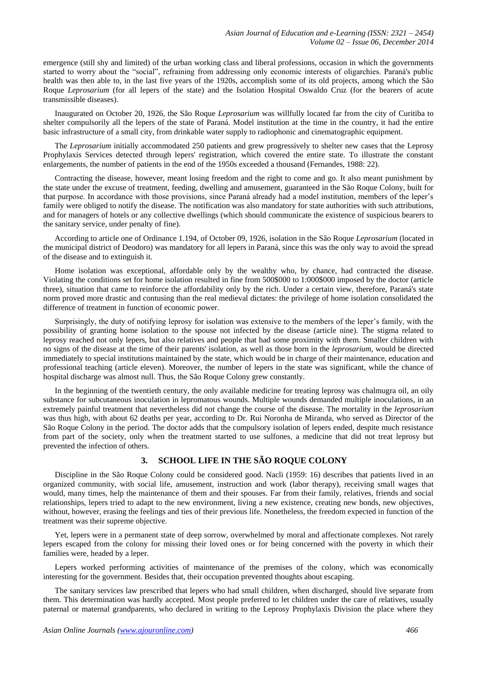emergence (still shy and limited) of the urban working class and liberal professions, occasion in which the governments started to worry about the "social", refraining from addressing only economic interests of oligarchies. Paraná's public health was then able to, in the last five years of the 1920s, accomplish some of its old projects, among which the São Roque *Leprosarium* (for all lepers of the state) and the Isolation Hospital Oswaldo Cruz (for the bearers of acute transmissible diseases).

Inaugurated on October 20, 1926, the São Roque *Leprosarium* was willfully located far from the city of Curitiba to shelter compulsorily all the lepers of the state of Paraná. Model institution at the time in the country, it had the entire basic infrastructure of a small city, from drinkable water supply to radiophonic and cinematographic equipment.

The *Leprosarium* initially accommodated 250 patients and grew progressively to shelter new cases that the Leprosy Prophylaxis Services detected through lepers' registration, which covered the entire state. To illustrate the constant enlargements, the number of patients in the end of the 1950s exceeded a thousand (Fernandes, 1988: 22).

Contracting the disease, however, meant losing freedom and the right to come and go. It also meant punishment by the state under the excuse of treatment, feeding, dwelling and amusement, guaranteed in the São Roque Colony, built for that purpose. In accordance with those provisions, since Paraná already had a model institution, members of the leper's family were obliged to notify the disease. The notification was also mandatory for state authorities with such attributions, and for managers of hotels or any collective dwellings (which should communicate the existence of suspicious bearers to the sanitary service, under penalty of fine).

According to article one of Ordinance 1.194, of October 09, 1926, isolation in the São Roque *Leprosarium* (located in the municipal district of Deodoro) was mandatory for all lepers in Paraná, since this was the only way to avoid the spread of the disease and to extinguish it.

Home isolation was exceptional, affordable only by the wealthy who, by chance, had contracted the disease. Violating the conditions set for home isolation resulted in fine from 500\$000 to 1:000\$000 imposed by the doctor (article three), situation that came to reinforce the affordability only by the rich. Under a certain view, therefore, Paraná's state norm proved more drastic and contusing than the real medieval dictates: the privilege of home isolation consolidated the difference of treatment in function of economic power.

Surprisingly, the duty of notifying leprosy for isolation was extensive to the members of the leper's family, with the possibility of granting home isolation to the spouse not infected by the disease (article nine). The stigma related to leprosy reached not only lepers, but also relatives and people that had some proximity with them. Smaller children with no signs of the disease at the time of their parents' isolation, as well as those born in the *leprosarium*, would be directed immediately to special institutions maintained by the state, which would be in charge of their maintenance, education and professional teaching (article eleven). Moreover, the number of lepers in the state was significant, while the chance of hospital discharge was almost null. Thus, the São Roque Colony grew constantly.

In the beginning of the twentieth century, the only available medicine for treating leprosy was chalmugra oil, an oily substance for subcutaneous inoculation in lepromatous wounds. Multiple wounds demanded multiple inoculations, in an extremely painful treatment that nevertheless did not change the course of the disease. The mortality in the *leprosarium* was thus high, with about 62 deaths per year, according to Dr. Rui Noronha de Miranda, who served as Director of the São Roque Colony in the period. The doctor adds that the compulsory isolation of lepers ended, despite much resistance from part of the society, only when the treatment started to use sulfones, a medicine that did not treat leprosy but prevented the infection of others.

# **3. SCHOOL LIFE IN THE SÃO ROQUE COLONY**

Discipline in the São Roque Colony could be considered good. Nacli (1959: 16) describes that patients lived in an organized community, with social life, amusement, instruction and work (labor therapy), receiving small wages that would, many times, help the maintenance of them and their spouses. Far from their family, relatives, friends and social relationships, lepers tried to adapt to the new environment, living a new existence, creating new bonds, new objectives, without, however, erasing the feelings and ties of their previous life. Nonetheless, the freedom expected in function of the treatment was their supreme objective.

Yet, lepers were in a permanent state of deep sorrow, overwhelmed by moral and affectionate complexes. Not rarely lepers escaped from the colony for missing their loved ones or for being concerned with the poverty in which their families were, headed by a leper.

Lepers worked performing activities of maintenance of the premises of the colony, which was economically interesting for the government. Besides that, their occupation prevented thoughts about escaping.

The sanitary services law prescribed that lepers who had small children, when discharged, should live separate from them. This determination was hardly accepted. Most people preferred to let children under the care of relatives, usually paternal or maternal grandparents, who declared in writing to the Leprosy Prophylaxis Division the place where they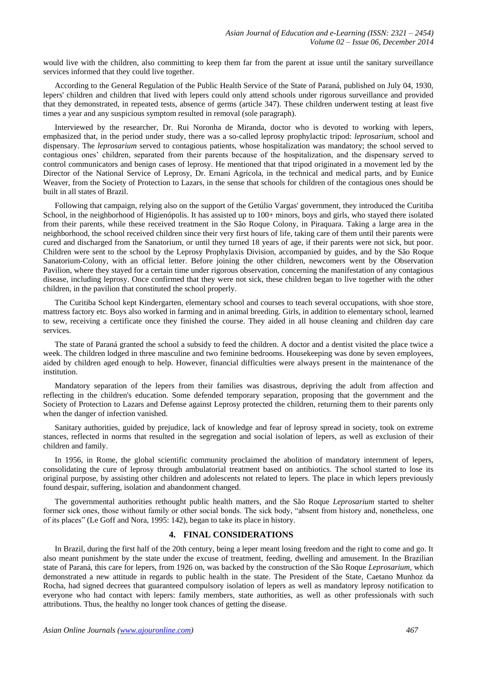would live with the children, also committing to keep them far from the parent at issue until the sanitary surveillance services informed that they could live together.

According to the General Regulation of the Public Health Service of the State of Paraná, published on July 04, 1930, lepers' children and children that lived with lepers could only attend schools under rigorous surveillance and provided that they demonstrated, in repeated tests, absence of germs (article 347). These children underwent testing at least five times a year and any suspicious symptom resulted in removal (sole paragraph).

Interviewed by the researcher, Dr. Rui Noronha de Miranda, doctor who is devoted to working with lepers, emphasized that, in the period under study, there was a so-called leprosy prophylactic tripod: *leprosarium*, school and dispensary. The *leprosarium* served to contagious patients, whose hospitalization was mandatory; the school served to contagious ones' children, separated from their parents because of the hospitalization, and the dispensary served to control communicators and benign cases of leprosy. He mentioned that that tripod originated in a movement led by the Director of the National Service of Leprosy, Dr. Ernani Agrícola, in the technical and medical parts, and by Eunice Weaver, from the Society of Protection to Lazars, in the sense that schools for children of the contagious ones should be built in all states of Brazil.

Following that campaign, relying also on the support of the Getúlio Vargas' government, they introduced the Curitiba School, in the neighborhood of Higienópolis. It has assisted up to 100+ minors, boys and girls, who stayed there isolated from their parents, while these received treatment in the São Roque Colony, in Piraquara. Taking a large area in the neighborhood, the school received children since their very first hours of life, taking care of them until their parents were cured and discharged from the Sanatorium, or until they turned 18 years of age, if their parents were not sick, but poor. Children were sent to the school by the Leprosy Prophylaxis Division, accompanied by guides, and by the São Roque Sanatorium-Colony, with an official letter. Before joining the other children, newcomers went by the Observation Pavilion, where they stayed for a certain time under rigorous observation, concerning the manifestation of any contagious disease, including leprosy. Once confirmed that they were not sick, these children began to live together with the other children, in the pavilion that constituted the school properly.

The Curitiba School kept Kindergarten, elementary school and courses to teach several occupations, with shoe store, mattress factory etc. Boys also worked in farming and in animal breeding. Girls, in addition to elementary school, learned to sew, receiving a certificate once they finished the course. They aided in all house cleaning and children day care services.

The state of Paraná granted the school a subsidy to feed the children. A doctor and a dentist visited the place twice a week. The children lodged in three masculine and two feminine bedrooms. Housekeeping was done by seven employees, aided by children aged enough to help. However, financial difficulties were always present in the maintenance of the institution.

Mandatory separation of the lepers from their families was disastrous, depriving the adult from affection and reflecting in the children's education. Some defended temporary separation, proposing that the government and the Society of Protection to Lazars and Defense against Leprosy protected the children, returning them to their parents only when the danger of infection vanished.

Sanitary authorities, guided by prejudice, lack of knowledge and fear of leprosy spread in society, took on extreme stances, reflected in norms that resulted in the segregation and social isolation of lepers, as well as exclusion of their children and family.

In 1956, in Rome, the global scientific community proclaimed the abolition of mandatory internment of lepers, consolidating the cure of leprosy through ambulatorial treatment based on antibiotics. The school started to lose its original purpose, by assisting other children and adolescents not related to lepers. The place in which lepers previously found despair, suffering, isolation and abandonment changed.

The governmental authorities rethought public health matters, and the São Roque *Leprosarium* started to shelter former sick ones, those without family or other social bonds. The sick body, "absent from history and, nonetheless, one of its places" (Le Goff and Nora, 1995: 142), began to take its place in history.

## **4. FINAL CONSIDERATIONS**

In Brazil, during the first half of the 20th century, being a leper meant losing freedom and the right to come and go. It also meant punishment by the state under the excuse of treatment, feeding, dwelling and amusement. In the Brazilian state of Paraná, this care for lepers, from 1926 on, was backed by the construction of the São Roque *Leprosarium*, which demonstrated a new attitude in regards to public health in the state. The President of the State, Caetano Munhoz da Rocha, had signed decrees that guaranteed compulsory isolation of lepers as well as mandatory leprosy notification to everyone who had contact with lepers: family members, state authorities, as well as other professionals with such attributions. Thus, the healthy no longer took chances of getting the disease.